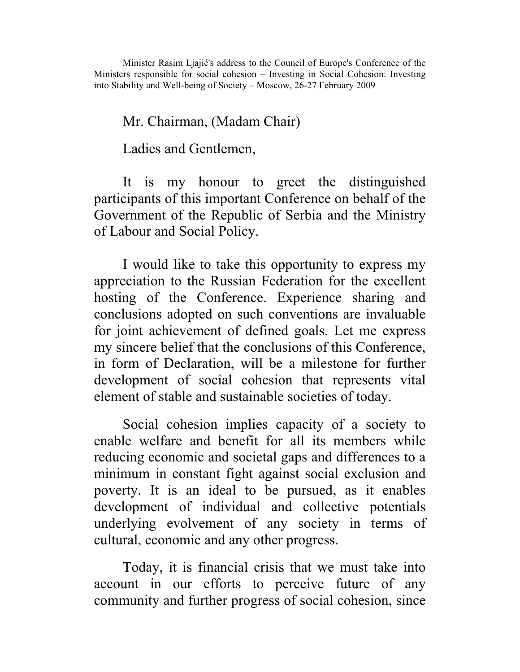Minister Rasim Ljajić's address to the Council of Europe's Conference of the Ministers responsible for social cohesion – Investing in Social Cohesion: Investing into Stability and Well-being of Society – Moscow, 26-27 February 2009

## Mr. Chairman, (Madam Chair)

Ladies and Gentlemen,

It is my honour to greet the distinguished participants of this important Conference on behalf of the Government of the Republic of Serbia and the Ministry of Labour and Social Policy.

I would like to take this opportunity to express my appreciation to the Russian Federation for the excellent hosting of the Conference. Experience sharing and conclusions adopted on such conventions are invaluable for joint achievement of defined goals. Let me express my sincere belief that the conclusions of this Conference, in form of Declaration, will be a milestone for further development of social cohesion that represents vital element of stable and sustainable societies of today.

Social cohesion implies capacity of a society to enable welfare and benefit for all its members while reducing economic and societal gaps and differences to a minimum in constant fight against social exclusion and poverty. It is an ideal to be pursued, as it enables development of individual and collective potentials underlying evolvement of any society in terms of cultural, economic and any other progress.

Today, it is financial crisis that we must take into account in our efforts to perceive future of any community and further progress of social cohesion, since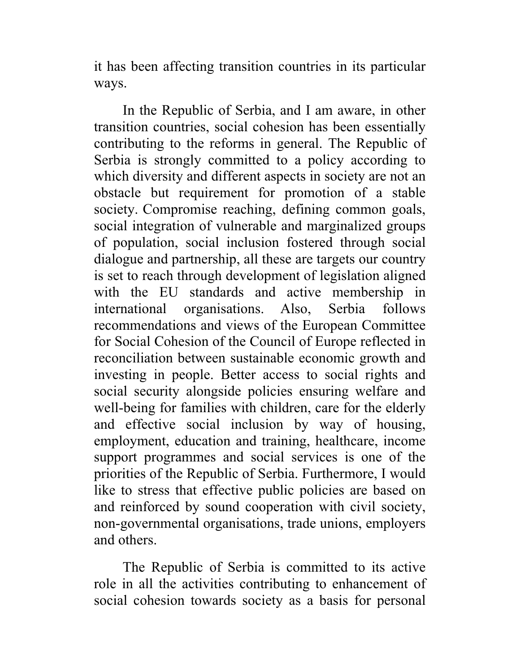it has been affecting transition countries in its particular ways.

In the Republic of Serbia, and I am aware, in other transition countries, social cohesion has been essentially contributing to the reforms in general. The Republic of Serbia is strongly committed to a policy according to which diversity and different aspects in society are not an obstacle but requirement for promotion of a stable society. Compromise reaching, defining common goals, social integration of vulnerable and marginalized groups of population, social inclusion fostered through social dialogue and partnership, all these are targets our country is set to reach through development of legislation aligned with the EU standards and active membership in international organisations. Also, Serbia follows recommendations and views of the European Committee for Social Cohesion of the Council of Europe reflected in reconciliation between sustainable economic growth and investing in people. Better access to social rights and social security alongside policies ensuring welfare and well-being for families with children, care for the elderly and effective social inclusion by way of housing, employment, education and training, healthcare, income support programmes and social services is one of the priorities of the Republic of Serbia. Furthermore, I would like to stress that effective public policies are based on and reinforced by sound cooperation with civil society, non-governmental organisations, trade unions, employers and others.

The Republic of Serbia is committed to its active role in all the activities contributing to enhancement of social cohesion towards society as a basis for personal